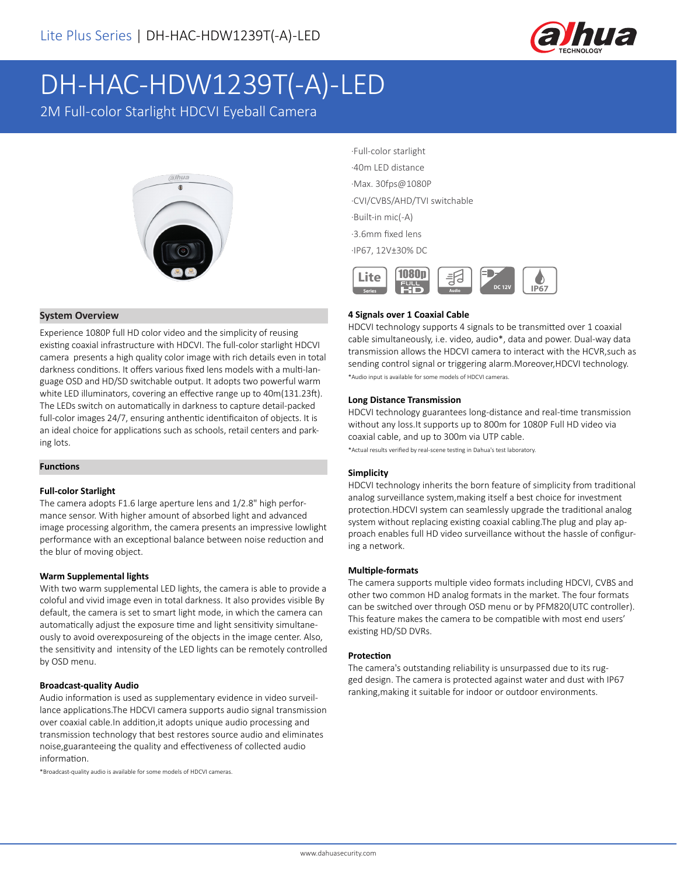

# DH-HAC-HDW1239T(-A)-LED

2M Full-color Starlight HDCVI Eyeball Camera



## **System Overview**

Experience 1080P full HD color video and the simplicity of reusing existing coaxial infrastructure with HDCVI. The full-color starlight HDCVI camera presents a high quality color image with rich details even in total darkness conditions. It offers various fixed lens models with a multi-language OSD and HD/SD switchable output. It adopts two powerful warm white LED illuminators, covering an effective range up to 40m(131.23ft). The LEDs switch on automatically in darkness to capture detail-packed full-color images 24/7, ensuring anthentic identificaiton of objects. It is an ideal choice for applications such as schools, retail centers and parking lots.

#### **Functions**

#### **Full-color Starlight**

The camera adopts F1.6 large aperture lens and 1/2.8" high performance sensor. With higher amount of absorbed light and advanced image processing algorithm, the camera presents an impressive lowlight performance with an exceptional balance between noise reduction and the blur of moving object.

#### **Warm Supplemental lights**

With two warm supplemental LED lights, the camera is able to provide a coloful and vivid image even in total darkness. It also provides visible By default, the camera is set to smart light mode, in which the camera can automatically adjust the exposure time and light sensitivity simultaneously to avoid overexposureing of the objects in the image center. Also, the sensitivity and intensity of the LED lights can be remotely controlled by OSD menu.

#### **Broadcast-quality Audio**

Audio information is used as supplementary evidence in video surveillance applications.The HDCVI camera supports audio signal transmission over coaxial cable.In addition,it adopts unique audio processing and transmission technology that best restores source audio and eliminates noise,guaranteeing the quality and effectiveness of collected audio information.

\*Broadcast-quality audio is available for some models of HDCVI cameras.

·Full-color starlight ·40m LED distance ·Max. 30fps@1080P ·CVI/CVBS/AHD/TVI switchable ·Built-in mic(-A) ·3.6mm fixed lens

·IP67, 12V±30% DC



#### **4 Signals over 1 Coaxial Cable**

HDCVI technology supports 4 signals to be transmitted over 1 coaxial cable simultaneously, i.e. video, audio\*, data and power. Dual-way data transmission allows the HDCVI camera to interact with the HCVR,such as sending control signal or triggering alarm.Moreover,HDCVI technology. \*Audio input is available for some models of HDCVI cameras.

#### **Long Distance Transmission**

HDCVI technology guarantees long-distance and real-time transmission without any loss.It supports up to 800m for 1080P Full HD video via coaxial cable, and up to 300m via UTP cable.

\*Actual results verified by real-scene testing in Dahua's test laboratory.

#### **Simplicity**

HDCVI technology inherits the born feature of simplicity from traditional analog surveillance system,making itself a best choice for investment protection.HDCVI system can seamlessly upgrade the traditional analog system without replacing existing coaxial cabling.The plug and play approach enables full HD video surveillance without the hassle of configuring a network.

#### **Multiple-formats**

The camera supports multiple video formats including HDCVI, CVBS and other two common HD analog formats in the market. The four formats can be switched over through OSD menu or by PFM820(UTC controller). This feature makes the camera to be compatible with most end users' existing HD/SD DVRs.

#### **Protection**

The camera's outstanding reliability is unsurpassed due to its rugged design. The camera is protected against water and dust with IP67 ranking,making it suitable for indoor or outdoor environments.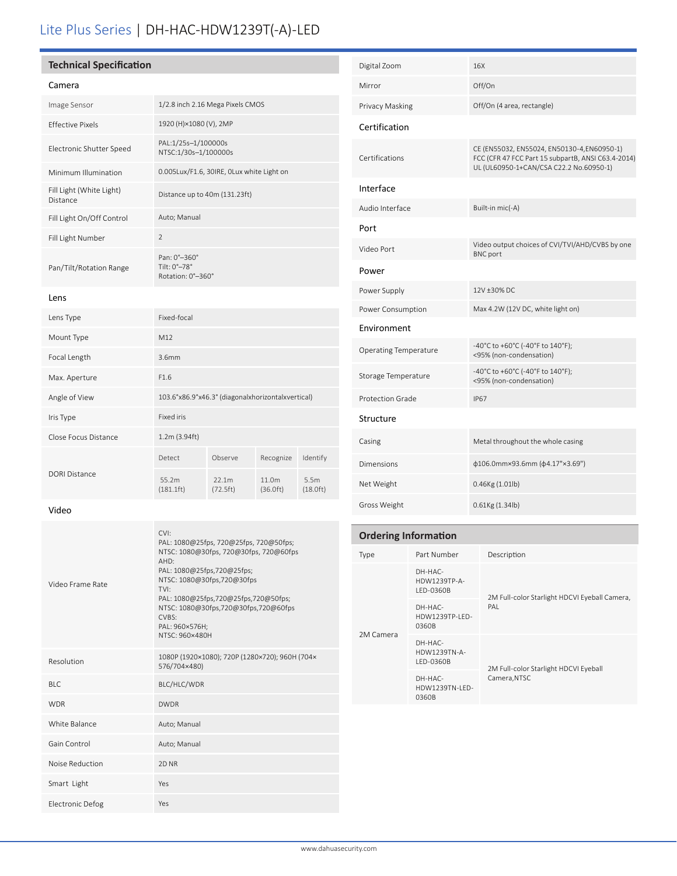# Lite Plus Series | DH-HAC-HDW1239T(-A)-LED

## **Technical Specification**

# Camera

| Cannera                              |                                                   |                        |           |          |
|--------------------------------------|---------------------------------------------------|------------------------|-----------|----------|
| Image Sensor                         | 1/2.8 inch 2.16 Mega Pixels CMOS                  |                        |           |          |
| <b>Effective Pixels</b>              |                                                   | 1920 (H)×1080 (V), 2MP |           |          |
| Electronic Shutter Speed             | PAL:1/25s-1/100000s<br>NTSC:1/30s-1/100000s       |                        |           |          |
| Minimum Illumination                 | 0.005Lux/F1.6, 30IRE, 0Lux white Light on         |                        |           |          |
| Fill Light (White Light)<br>Distance | Distance up to 40m (131.23ft)                     |                        |           |          |
| Fill Light On/Off Control            | Auto; Manual                                      |                        |           |          |
| Fill Light Number                    | $\mathfrak{D}$                                    |                        |           |          |
| Pan/Tilt/Rotation Range              | Pan: 0°-360°<br>Tilt: 0°-78°<br>Rotation: 0°-360° |                        |           |          |
| Lens                                 |                                                   |                        |           |          |
| Lens Type                            | Fixed-focal                                       |                        |           |          |
| Mount Type                           | M12                                               |                        |           |          |
| Focal Length                         | 3.6mm                                             |                        |           |          |
| Max. Aperture                        | F1.6                                              |                        |           |          |
| Angle of View                        | 103.6°x86.9°x46.3° (diagonalxhorizontalxvertical) |                        |           |          |
| Iris Type                            | Fixed iris                                        |                        |           |          |
| Close Focus Distance                 | 1.2m (3.94ft)                                     |                        |           |          |
|                                      | Detect                                            | Observe                | Recognize | Identify |

| Digital Zoom                 | 16X                                                                                                                                          |
|------------------------------|----------------------------------------------------------------------------------------------------------------------------------------------|
| Mirror                       | Off/On                                                                                                                                       |
| Privacy Masking              | Off/On (4 area, rectangle)                                                                                                                   |
| Certification                |                                                                                                                                              |
| Certifications               | CE (EN55032, EN55024, EN50130-4, EN60950-1)<br>FCC (CFR 47 FCC Part 15 subpartB, ANSI C63.4-2014)<br>UL (UL60950-1+CAN/CSA C22.2 No.60950-1) |
| Interface                    |                                                                                                                                              |
| Audio Interface              | Built-in mic(-A)                                                                                                                             |
| Port                         |                                                                                                                                              |
| Video Port                   | Video output choices of CVI/TVI/AHD/CVBS by one<br><b>BNC</b> port                                                                           |
| Power                        |                                                                                                                                              |
| Power Supply                 | 12V ±30% DC                                                                                                                                  |
| Power Consumption            | Max 4.2W (12V DC, white light on)                                                                                                            |
| Environment                  |                                                                                                                                              |
| <b>Operating Temperature</b> | -40°C to +60°C (-40°F to 140°F);<br><95% (non-condensation)                                                                                  |
| Storage Temperature          | -40°C to +60°C (-40°F to 140°F);<br><95% (non-condensation)                                                                                  |
| <b>Protection Grade</b>      | <b>IP67</b>                                                                                                                                  |
| Structure                    |                                                                                                                                              |
| Casing                       | Metal throughout the whole casing                                                                                                            |
| <b>Dimensions</b>            | φ106.0mm×93.6mm (φ4.17"×3.69")                                                                                                               |
| Net Weight                   | 0.46Kg (1.01lb)                                                                                                                              |
| Gross Weight                 | $0.61$ Kg $(1.34$ lb)                                                                                                                        |

# **Ordering Information**

| Type      | Part Number                          | Description                                   |  |  |
|-----------|--------------------------------------|-----------------------------------------------|--|--|
| 2M Camera | DH-HAC-<br>HDW1239TP-A-<br>LED-0360B | 2M Full-color Starlight HDCVI Eyeball Camera, |  |  |
|           | DH-HAC-<br>HDW1239TP-LED-<br>0360B   | PAI                                           |  |  |
|           | DH-HAC-<br>HDW1239TN-A-<br>LED-0360B | 2M Full-color Starlight HDCVI Eyeball         |  |  |
|           | DH-HAC-<br>HDW1239TN-I FD-<br>0360B  | Camera, NTSC                                  |  |  |

DORI Distance

| Video Frame Rate | CVI:<br>PAL: 1080@25fps, 720@25fps, 720@50fps;<br>NTSC: 1080@30fps, 720@30fps, 720@60fps<br>AHD:<br>PAL: 1080@25fps,720@25fps;<br>NTSC: 1080@30fps,720@30fps<br>TVI:<br>PAL: 1080@25fps,720@25fps,720@50fps;<br>NTSC: 1080@30fps,720@30fps,720@60fps<br>CVBS:<br>PAL: 960×576H;<br>NTSC: 960×480H |
|------------------|---------------------------------------------------------------------------------------------------------------------------------------------------------------------------------------------------------------------------------------------------------------------------------------------------|
| Resolution       | 1080P (1920×1080); 720P (1280×720); 960H (704×<br>576/704×480)                                                                                                                                                                                                                                    |
| BI C             | BLC/HLC/WDR                                                                                                                                                                                                                                                                                       |
| <b>WDR</b>       | <b>DWDR</b>                                                                                                                                                                                                                                                                                       |
| White Balance    | Auto; Manual                                                                                                                                                                                                                                                                                      |
| Gain Control     | Auto; Manual                                                                                                                                                                                                                                                                                      |
| Noise Reduction  | 2D <sub>NR</sub>                                                                                                                                                                                                                                                                                  |
| Smart Light      | Yes                                                                                                                                                                                                                                                                                               |
| Electronic Defog | Yes                                                                                                                                                                                                                                                                                               |

 55.2m (181.1ft)  22.1m (72.5ft) 11.0m (36.0ft)  5.5m (18.0ft)